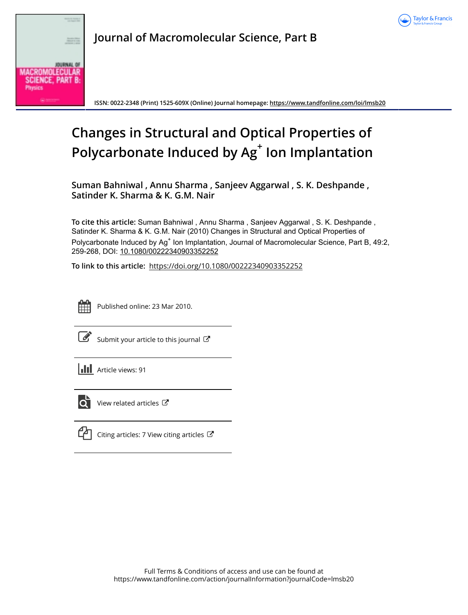



**Journal of Macromolecular Science, Part B**

**ISSN: 0022-2348 (Print) 1525-609X (Online) Journal homepage: <https://www.tandfonline.com/loi/lmsb20>**

# **Changes in Structural and Optical Properties of Polycarbonate Induced by Ag<sup>+</sup> Ion Implantation**

**Suman Bahniwal , Annu Sharma , Sanjeev Aggarwal , S. K. Deshpande , Satinder K. Sharma & K. G.M. Nair**

**To cite this article:** Suman Bahniwal , Annu Sharma , Sanjeev Aggarwal , S. K. Deshpande , Satinder K. Sharma & K. G.M. Nair (2010) Changes in Structural and Optical Properties of Polycarbonate Induced by Ag<sup>+</sup> Ion Implantation, Journal of Macromolecular Science, Part B, 49:2, 259-268, DOI: [10.1080/00222340903352252](https://www.tandfonline.com/action/showCitFormats?doi=10.1080/00222340903352252)

**To link to this article:** <https://doi.org/10.1080/00222340903352252>



Published online: 23 Mar 2010.

 $\mathbb G$  [Submit your article to this journal](https://www.tandfonline.com/action/authorSubmission?journalCode=lmsb20&show=instructions)  $\mathbb G$ 

**III** Article views: 91



 $\bullet$  [View related articles](https://www.tandfonline.com/doi/mlt/10.1080/00222340903352252)  $\mathbb{Z}$ 



 $\Box$  [Citing articles: 7 View citing articles](https://www.tandfonline.com/doi/citedby/10.1080/00222340903352252#tabModule)  $\Box$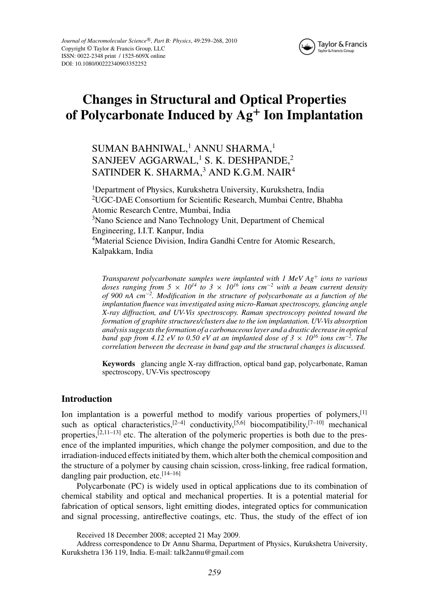

# **Changes in Structural and Optical Properties of Polycarbonate Induced by Ag<sup>+</sup> Ion Implantation**

SUMAN BAHNIWAL,<sup>1</sup> ANNU SHARMA,<sup>1</sup> SANJEEV AGGARWAL,<sup>1</sup> S. K. DESHPANDE,<sup>2</sup> SATINDER K. SHARMA,<sup>3</sup> AND K.G.M. NAIR<sup>4</sup>

<sup>1</sup>Department of Physics, Kurukshetra University, Kurukshetra, India 2 UGC-DAE Consortium for Scientific Research, Mumbai Centre, Bhabha Atomic Research Centre, Mumbai, India <sup>3</sup>Nano Science and Nano Technology Unit, Department of Chemical Engineering, I.I.T. Kanpur, India <sup>4</sup>Material Science Division, Indira Gandhi Centre for Atomic Research, Kalpakkam, India

*Transparent polycarbonate samples were implanted with 1 MeV Ag*<sup>+</sup> *ions to various doses ranging from 5*  $\times$  *10<sup>14</sup> to 3*  $\times$  *10<sup>16</sup> ions cm<sup>-2</sup> with a beam current density of 900 nA cm*−*<sup>2</sup> . Modification in the structure of polycarbonate as a function of the implantation fluence was investigated using micro-Raman spectroscopy, glancing angle X-ray diffraction, and UV-Vis spectroscopy. Raman spectroscopy pointed toward the formation of graphite structures/clusters due to the ion implantation. UV-Vis absorption analysis suggests the formation of a carbonaceous layer and a drastic decrease in optical band gap from 4.12 eV to 0.50 eV at an implanted dose of 3*  $\times$  10<sup>16</sup> *ions cm*<sup>−2</sup>. The *correlation between the decrease in band gap and the structural changes is discussed.*

**Keywords** glancing angle X-ray diffraction, optical band gap, polycarbonate, Raman spectroscopy, UV-Vis spectroscopy

## **Introduction**

Ion implantation is a powerful method to modify various properties of polymers,  $[1]$ such as optical characteristics,<sup>[2–4]</sup> conductivity,<sup>[5,6]</sup> biocompatibility,<sup>[7–10]</sup> mechanical properties, $[2,11-13]$  etc. The alteration of the polymeric properties is both due to the presence of the implanted impurities, which change the polymer composition, and due to the irradiation-induced effects initiated by them, which alter both the chemical composition and the structure of a polymer by causing chain scission, cross-linking, free radical formation, dangling pair production, etc.<sup>[14-16]</sup>

Polycarbonate (PC) is widely used in optical applications due to its combination of chemical stability and optical and mechanical properties. It is a potential material for fabrication of optical sensors, light emitting diodes, integrated optics for communication and signal processing, antireflective coatings, etc. Thus, the study of the effect of ion

Received 18 December 2008; accepted 21 May 2009.

Address correspondence to Dr Annu Sharma, Department of Physics, Kurukshetra University, Kurukshetra 136 119, India. E-mail: talk2annu@gmail.com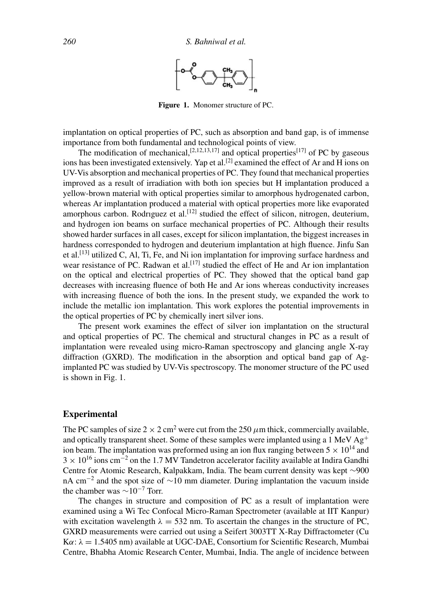

**Figure 1.** Monomer structure of PC.

implantation on optical properties of PC, such as absorption and band gap, is of immense importance from both fundamental and technological points of view.

The modification of mechanical,  $[2,12,13,17]$  and optical properties $[17]$  of PC by gaseous ions has been investigated extensively. Yap et al.<sup>[2]</sup> examined the effect of Ar and H ions on UV-Vis absorption and mechanical properties of PC. They found that mechanical properties improved as a result of irradiation with both ion species but H implantation produced a yellow-brown material with optical properties similar to amorphous hydrogenated carbon, whereas Ar implantation produced a material with optical properties more like evaporated amorphous carbon. Rodriguez et al.<sup>[12]</sup> studied the effect of silicon, nitrogen, deuterium, and hydrogen ion beams on surface mechanical properties of PC. Although their results showed harder surfaces in all cases, except for silicon implantation, the biggest increases in hardness corresponded to hydrogen and deuterium implantation at high fluence. Jinfu San et al.<sup>[13]</sup> utilized C, Al, Ti, Fe, and Ni ion implantation for improving surface hardness and wear resistance of PC. Radwan et al.<sup>[17]</sup> studied the effect of He and Ar ion implantation on the optical and electrical properties of PC. They showed that the optical band gap decreases with increasing fluence of both He and Ar ions whereas conductivity increases with increasing fluence of both the ions. In the present study, we expanded the work to include the metallic ion implantation. This work explores the potential improvements in the optical properties of PC by chemically inert silver ions.

The present work examines the effect of silver ion implantation on the structural and optical properties of PC. The chemical and structural changes in PC as a result of implantation were revealed using micro-Raman spectroscopy and glancing angle X-ray diffraction (GXRD). The modification in the absorption and optical band gap of Agimplanted PC was studied by UV-Vis spectroscopy. The monomer structure of the PC used is shown in Fig. 1.

# **Experimental**

The PC samples of size  $2 \times 2$  cm<sup>2</sup> were cut from the 250  $\mu$ m thick, commercially available, and optically transparent sheet. Some of these samples were implanted using a 1 MeV  $Ag<sup>+</sup>$ ion beam. The implantation was preformed using an ion flux ranging between  $5 \times 10^{14}$  and  $3 \times 10^{16}$  ions cm<sup>-2</sup> on the 1.7 MV Tandetron accelerator facility available at Indira Gandhi Centre for Atomic Research, Kalpakkam, India. The beam current density was kept ∼900 nA cm<sup>-2</sup> and the spot size of  $\sim$ 10 mm diameter. During implantation the vacuum inside the chamber was  $\sim 10^{-7}$  Torr.

The changes in structure and composition of PC as a result of implantation were examined using a Wi Tec Confocal Micro-Raman Spectrometer (available at IIT Kanpur) with excitation wavelength  $\lambda = 532$  nm. To ascertain the changes in the structure of PC, GXRD measurements were carried out using a Seifert 3003TT X-Ray Diffractometer (Cu  $K\alpha$ :  $\lambda = 1.5405$  nm) available at UGC-DAE, Consortium for Scientific Research, Mumbai Centre, Bhabha Atomic Research Center, Mumbai, India. The angle of incidence between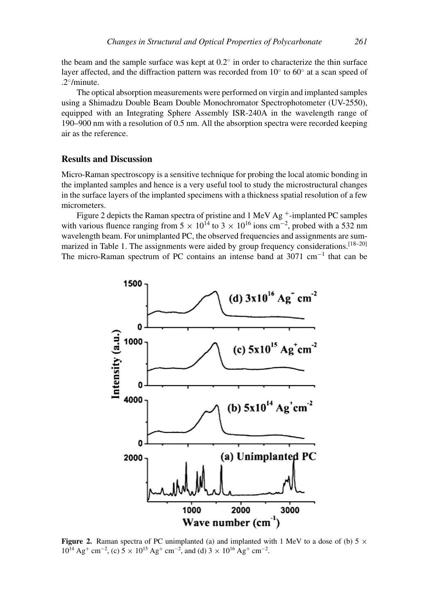the beam and the sample surface was kept at  $0.2°$  in order to characterize the thin surface layer affected, and the diffraction pattern was recorded from  $10°$  to  $60°$  at a scan speed of .2◦/minute.

The optical absorption measurements were performed on virgin and implanted samples using a Shimadzu Double Beam Double Monochromator Spectrophotometer (UV-2550), equipped with an Integrating Sphere Assembly ISR-240A in the wavelength range of 190–900 nm with a resolution of 0.5 nm. All the absorption spectra were recorded keeping air as the reference.

### **Results and Discussion**

Micro-Raman spectroscopy is a sensitive technique for probing the local atomic bonding in the implanted samples and hence is a very useful tool to study the microstructural changes in the surface layers of the implanted specimens with a thickness spatial resolution of a few micrometers.

Figure 2 depicts the Raman spectra of pristine and 1 MeV Ag<sup>+</sup>-implanted PC samples with various fluence ranging from  $5 \times 10^{14}$  to  $3 \times 10^{16}$  ions cm<sup>-2</sup>, probed with a 532 nm wavelength beam. For unimplanted PC, the observed frequencies and assignments are summarized in Table 1. The assignments were aided by group frequency considerations.<sup>[18-20]</sup> The micro-Raman spectrum of PC contains an intense band at 3071 cm−<sup>1</sup> that can be



**Figure 2.** Raman spectra of PC unimplanted (a) and implanted with 1 MeV to a dose of (b) 5  $\times$  $10^{14} \text{ Ag}^+ \text{ cm}^{-2}$ , (c)  $5 \times 10^{15} \text{ Ag}^+ \text{ cm}^{-2}$ , and (d)  $3 \times 10^{16} \text{ Ag}^+ \text{ cm}^{-2}$ .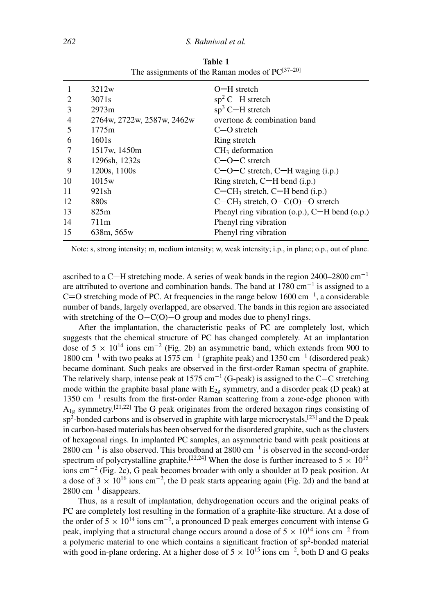| 1  | 3212w                      | $O-H$ stretch                                        |
|----|----------------------------|------------------------------------------------------|
| 2  | 3071 <sub>s</sub>          | $sp2$ C-H stretch                                    |
| 3  | 2973m                      | $sp3$ C-H stretch                                    |
| 4  | 2764w, 2722w, 2587w, 2462w | overtone & combination band                          |
| 5  | 1775m                      | $C = 0$ stretch                                      |
| 6  | 1601s                      | Ring stretch                                         |
|    | 1517w, 1450m               | $CH3$ deformation                                    |
| 8  | 1296sh, 1232s              | $C$ – $O$ – $C$ stretch                              |
| 9  | 1200s, 1100s               | $C-O-C$ stretch, $C-H$ waging (i.p.)                 |
| 10 | 1015w                      | Ring stretch, $C-H$ bend (i.p.)                      |
| 11 | 921sh                      | $C$ – $CH_3$ stretch, $C$ –H bend (i.p.)             |
| 12 | 880s                       | $C$ –CH <sub>3</sub> stretch, O–C(O)–O stretch       |
| 13 | 825m                       | Phenyl ring vibration $(o.p.)$ , $C-H$ bend $(o.p.)$ |
| 14 | 711m                       | Phenyl ring vibration                                |
| 15 | 638m, 565w                 | Phenyl ring vibration                                |
|    |                            |                                                      |

**Table 1** The assignments of the Raman modes of  $PC^{[37-20]}$ 

Note: s, strong intensity; m, medium intensity; w, weak intensity; i.p., in plane; o.p., out of plane.

ascribed to a C-H stretching mode. A series of weak bands in the region 2400–2800 cm<sup>-1</sup> are attributed to overtone and combination bands. The band at  $1780 \text{ cm}^{-1}$  is assigned to a C=O stretching mode of PC. At frequencies in the range below  $1600 \text{ cm}^{-1}$ , a considerable number of bands, largely overlapped, are observed. The bands in this region are associated with stretching of the O–C(O)–O group and modes due to phenyl rings.

After the implantation, the characteristic peaks of PC are completely lost, which suggests that the chemical structure of PC has changed completely. At an implantation dose of  $5 \times 10^{14}$  ions cm<sup>-2</sup> (Fig. 2b) an asymmetric band, which extends from 900 to 1800 cm<sup>-1</sup> with two peaks at 1575 cm<sup>-1</sup> (graphite peak) and 1350 cm<sup>-1</sup> (disordered peak) became dominant. Such peaks are observed in the first-order Raman spectra of graphite. The relatively sharp, intense peak at 1575 cm<sup>-1</sup> (G-peak) is assigned to the C–C stretching mode within the graphite basal plane with  $E<sub>2</sub>$  symmetry, and a disorder peak (D peak) at 1350 cm−<sup>1</sup> results from the first-order Raman scattering from a zone-edge phonon with  $A_{1g}$  symmetry.<sup>[21,22]</sup> The G peak originates from the ordered hexagon rings consisting of  $sp^2$ -bonded carbons and is observed in graphite with large microcrystals,<sup>[23]</sup> and the D peak in carbon-based materials has been observed for the disordered graphite, such as the clusters of hexagonal rings. In implanted PC samples, an asymmetric band with peak positions at 2800 cm<sup>-1</sup> is also observed. This broadband at 2800 cm<sup>-1</sup> is observed in the second-order spectrum of polycrystalline graphite.<sup>[22,24]</sup> When the dose is further increased to  $5 \times 10^{15}$ ions cm<sup>-2</sup> (Fig. 2c), G peak becomes broader with only a shoulder at D peak position. At a dose of  $3 \times 10^{16}$  ions cm<sup>-2</sup>, the D peak starts appearing again (Fig. 2d) and the band at  $2800 \text{ cm}^{-1}$  disappears.

Thus, as a result of implantation, dehydrogenation occurs and the original peaks of PC are completely lost resulting in the formation of a graphite-like structure. At a dose of the order of 5  $\times$  10<sup>14</sup> ions cm<sup>-2</sup>, a pronounced D peak emerges concurrent with intense G peak, implying that a structural change occurs around a dose of  $5 \times 10^{14}$  ions cm<sup>-2</sup> from a polymeric material to one which contains a significant fraction of  $sp^2$ -bonded material with good in-plane ordering. At a higher dose of  $5 \times 10^{15}$  ions cm<sup>-2</sup>, both D and G peaks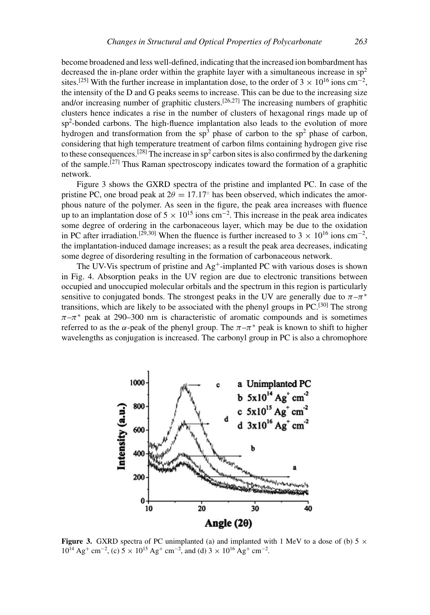become broadened and less well-defined, indicating that the increased ion bombardment has decreased the in-plane order within the graphite layer with a simultaneous increase in  $sp<sup>2</sup>$ sites.<sup>[25]</sup> With the further increase in implantation dose, to the order of  $3 \times 10^{16}$  ions cm<sup>-2</sup>, the intensity of the D and G peaks seems to increase. This can be due to the increasing size and/or increasing number of graphitic clusters.<sup>[26,27]</sup> The increasing numbers of graphitic clusters hence indicates a rise in the number of clusters of hexagonal rings made up of sp<sup>2</sup>-bonded carbons. The high-fluence implantation also leads to the evolution of more hydrogen and transformation from the  $sp^3$  phase of carbon to the  $sp^2$  phase of carbon, considering that high temperature treatment of carbon films containing hydrogen give rise to these consequences.<sup>[28]</sup> The increase in  $sp^2$  carbon sites is also confirmed by the darkening of the sample.<sup>[27]</sup> Thus Raman spectroscopy indicates toward the formation of a graphitic network.

Figure 3 shows the GXRD spectra of the pristine and implanted PC. In case of the pristine PC, one broad peak at  $2\theta = 17.17°$  has been observed, which indicates the amorphous nature of the polymer. As seen in the figure, the peak area increases with fluence up to an implantation dose of  $5 \times 10^{15}$  ions cm<sup>-2</sup>. This increase in the peak area indicates some degree of ordering in the carbonaceous layer, which may be due to the oxidation in PC after irradiation.<sup>[29,30]</sup> When the fluence is further increased to  $3 \times 10^{16}$  ions cm<sup>-2</sup>, the implantation-induced damage increases; as a result the peak area decreases, indicating some degree of disordering resulting in the formation of carbonaceous network.

The UV-Vis spectrum of pristine and  $Ag^+$ -implanted PC with various doses is shown in Fig. 4. Absorption peaks in the UV region are due to electronic transitions between occupied and unoccupied molecular orbitals and the spectrum in this region is particularly sensitive to conjugated bonds. The strongest peaks in the UV are generally due to  $\pi-\pi^*$ transitions, which are likely to be associated with the phenyl groups in  $PC$ <sup>[30]</sup> The strong  $\pi-\pi^*$  peak at 290–300 nm is characteristic of aromatic compounds and is sometimes referred to as the  $\alpha$ -peak of the phenyl group. The  $\pi-\pi^*$  peak is known to shift to higher wavelengths as conjugation is increased. The carbonyl group in PC is also a chromophore



**Figure 3.** GXRD spectra of PC unimplanted (a) and implanted with 1 MeV to a dose of (b)  $5 \times$  $10^{14} \text{ Ag}^+ \text{ cm}^{-2}$ , (c)  $5 \times 10^{15} \text{ Ag}^+ \text{ cm}^{-2}$ , and (d)  $3 \times 10^{16} \text{ Ag}^+ \text{ cm}^{-2}$ .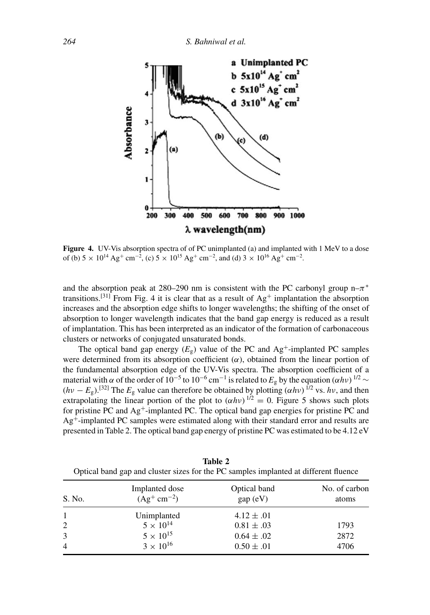

**Figure 4.** UV-Vis absorption spectra of of PC unimplanted (a) and implanted with 1 MeV to a dose of (b)  $5 \times 10^{14} \text{ Ag}^+ \text{ cm}^{-2}$ , (c)  $5 \times 10^{15} \text{ Ag}^+ \text{ cm}^{-2}$ , and (d)  $3 \times 10^{16} \text{ Ag}^+ \text{ cm}^{-2}$ .

and the absorption peak at 280–290 nm is consistent with the PC carbonyl group  $n-\pi^*$ transitions.<sup>[31]</sup> From Fig. 4 it is clear that as a result of  $Ag^+$  implantation the absorption increases and the absorption edge shifts to longer wavelengths; the shifting of the onset of absorption to longer wavelength indicates that the band gap energy is reduced as a result of implantation. This has been interpreted as an indicator of the formation of carbonaceous clusters or networks of conjugated unsaturated bonds.

The optical band gap energy  $(E_g)$  value of the PC and Ag<sup>+</sup>-implanted PC samples were determined from its absorption coefficient  $(\alpha)$ , obtained from the linear portion of the fundamental absorption edge of the UV-Vis spectra. The absorption coefficient of a material with  $\alpha$  of the order of 10<sup>-5</sup> to 10<sup>-6</sup> cm<sup>-1</sup> is related to  $E<sub>g</sub>$  by the equation  $(\alpha h\nu)^{1/2}$  ∼  $(hv - E<sub>g</sub>)$ .<sup>[32]</sup> The  $E<sub>g</sub>$  value can therefore be obtained by plotting  $(\alpha h v)$  <sup>1/2</sup> vs.  $h v$ , and then extrapolating the linear portion of the plot to  $(\alpha h \nu)^{1/2} = 0$ . Figure 5 shows such plots for pristine PC and  $Ag^+$ -implanted PC. The optical band gap energies for pristine PC and Ag+-implanted PC samples were estimated along with their standard error and results are presented in Table 2. The optical band gap energy of pristine PC was estimated to be 4.12 eV

| S. No.         | Implanted dose<br>$(Ag^+ cm^{-2})$ | Optical band<br>gap (eV) | No. of carbon<br>atoms |
|----------------|------------------------------------|--------------------------|------------------------|
|                | Unimplanted                        | $4.12 \pm .01$           |                        |
| 2              | $5 \times 10^{14}$                 | $0.81 \pm .03$           | 1793                   |
| 3              | $5 \times 10^{15}$                 | $0.64 \pm .02$           | 2872                   |
| $\overline{4}$ | $3 \times 10^{16}$                 | $0.50 \pm .01$           | 4706                   |

**Table 2** Optical band gap and cluster sizes for the PC samples implanted at different fluence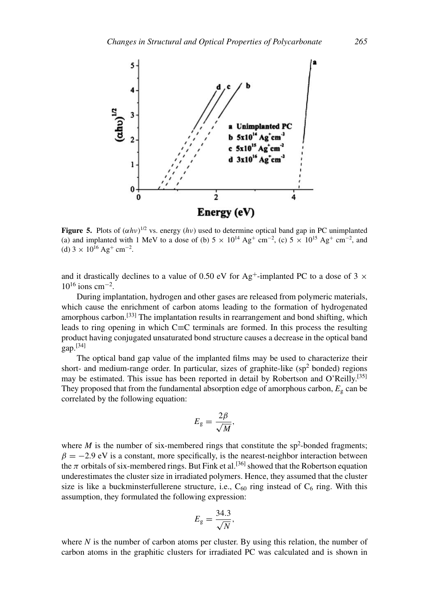

**Figure 5.** Plots of  $(\alpha h v)^{1/2}$  vs. energy  $(hv)$  used to determine optical band gap in PC unimplanted (a) and implanted with 1 MeV to a dose of (b)  $5 \times 10^{14}$  Ag<sup>+</sup> cm<sup>-2</sup>, (c)  $5 \times 10^{15}$  Ag<sup>+</sup> cm<sup>-2</sup>, and (d)  $3 \times 10^{16}$  Ag<sup>+</sup> cm<sup>-2</sup>.

and it drastically declines to a value of 0.50 eV for Ag<sup>+</sup>-implanted PC to a dose of 3  $\times$  $10^{16}$  ions cm<sup>-2</sup>.

During implantation, hydrogen and other gases are released from polymeric materials, which cause the enrichment of carbon atoms leading to the formation of hydrogenated amorphous carbon.<sup>[33]</sup> The implantation results in rearrangement and bond shifting, which leads to ring opening in which C≡C terminals are formed. In this process the resulting product having conjugated unsaturated bond structure causes a decrease in the optical band  $gap.<sup>[34]</sup>$ 

The optical band gap value of the implanted films may be used to characterize their short- and medium-range order. In particular, sizes of graphite-like ( $sp<sup>2</sup>$  bonded) regions may be estimated. This issue has been reported in detail by Robertson and O'Reilly.<sup>[35]</sup> They proposed that from the fundamental absorption edge of amorphous carbon,  $E<sub>g</sub>$  can be correlated by the following equation:

$$
E_{\rm g}=\frac{2\beta}{\sqrt{M}},
$$

where  $M$  is the number of six-membered rings that constitute the  $sp^2$ -bonded fragments;  $\beta = -2.9$  eV is a constant, more specifically, is the nearest-neighbor interaction between the  $\pi$  orbitals of six-membered rings. But Fink et al.<sup>[36]</sup> showed that the Robertson equation underestimates the cluster size in irradiated polymers. Hence, they assumed that the cluster size is like a buckminsterfullerene structure, i.e.,  $C_{60}$  ring instead of  $C_6$  ring. With this assumption, they formulated the following expression:

$$
E_{\rm g}=\frac{34.3}{\sqrt{N}},
$$

where *N* is the number of carbon atoms per cluster. By using this relation, the number of carbon atoms in the graphitic clusters for irradiated PC was calculated and is shown in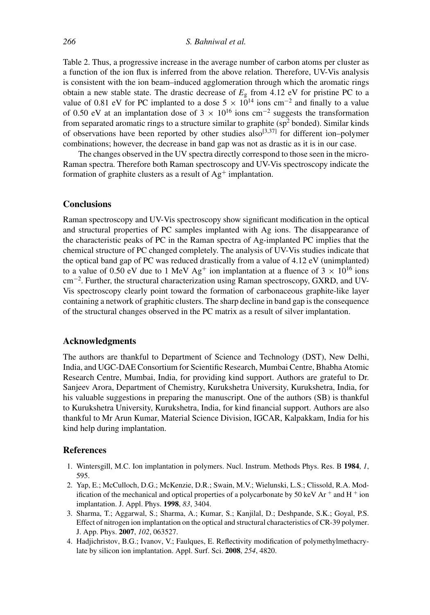Table 2. Thus, a progressive increase in the average number of carbon atoms per cluster as a function of the ion flux is inferred from the above relation. Therefore, UV-Vis analysis is consistent with the ion beam–induced agglomeration through which the aromatic rings obtain a new stable state. The drastic decrease of  $E<sub>g</sub>$  from 4.12 eV for pristine PC to a value of 0.81 eV for PC implanted to a dose  $5 \times 10^{14}$  ions cm<sup>-2</sup> and finally to a value of 0.50 eV at an implantation dose of 3  $\times$  10<sup>16</sup> ions cm<sup>-2</sup> suggests the transformation from separated aromatic rings to a structure similar to graphite ( $sp<sup>2</sup>$  bonded). Similar kinds of observations have been reported by other studies  $also^{[3,37]}$  for different ion–polymer combinations; however, the decrease in band gap was not as drastic as it is in our case.

The changes observed in the UV spectra directly correspond to those seen in the micro-Raman spectra. Therefore both Raman spectroscopy and UV-Vis spectroscopy indicate the formation of graphite clusters as a result of  $Ag^+$  implantation.

#### **Conclusions**

Raman spectroscopy and UV-Vis spectroscopy show significant modification in the optical and structural properties of PC samples implanted with Ag ions. The disappearance of the characteristic peaks of PC in the Raman spectra of Ag-implanted PC implies that the chemical structure of PC changed completely. The analysis of UV-Vis studies indicate that the optical band gap of PC was reduced drastically from a value of 4.12 eV (unimplanted) to a value of 0.50 eV due to 1 MeV Ag<sup>+</sup> ion implantation at a fluence of  $3 \times 10^{16}$  ions cm−<sup>2</sup> . Further, the structural characterization using Raman spectroscopy, GXRD, and UV-Vis spectroscopy clearly point toward the formation of carbonaceous graphite-like layer containing a network of graphitic clusters. The sharp decline in band gap is the consequence of the structural changes observed in the PC matrix as a result of silver implantation.

#### **Acknowledgments**

The authors are thankful to Department of Science and Technology (DST), New Delhi, India, and UGC-DAE Consortium for Scientific Research, Mumbai Centre, Bhabha Atomic Research Centre, Mumbai, India, for providing kind support. Authors are grateful to Dr. Sanjeev Arora, Department of Chemistry, Kurukshetra University, Kurukshetra, India, for his valuable suggestions in preparing the manuscript. One of the authors (SB) is thankful to Kurukshetra University, Kurukshetra, India, for kind financial support. Authors are also thankful to Mr Arun Kumar, Material Science Division, IGCAR, Kalpakkam, India for his kind help during implantation.

#### **References**

- 1. Wintersgill, M.C. Ion implantation in polymers. Nucl. Instrum. Methods Phys. Res. B **1984**, *1*, 595.
- 2. Yap, E.; McCulloch, D.G.; McKenzie, D.R.; Swain, M.V.; Wielunski, L.S.; Clissold, R.A. Modification of the mechanical and optical properties of a polycarbonate by 50 keV Ar  $^+$  and H  $^+$  ion implantation. J. Appl. Phys. **1998**, *83*, 3404.
- 3. Sharma, T.; Aggarwal, S.; Sharma, A.; Kumar, S.; Kanjilal, D.; Deshpande, S.K.; Goyal, P.S. Effect of nitrogen ion implantation on the optical and structural characteristics of CR-39 polymer. J. App. Phys. **2007**, *102*, 063527.
- 4. Hadjichristov, B.G.; Ivanov, V.; Faulques, E. Reflectivity modification of polymethylmethacrylate by silicon ion implantation. Appl. Surf. Sci. **2008**, *254*, 4820.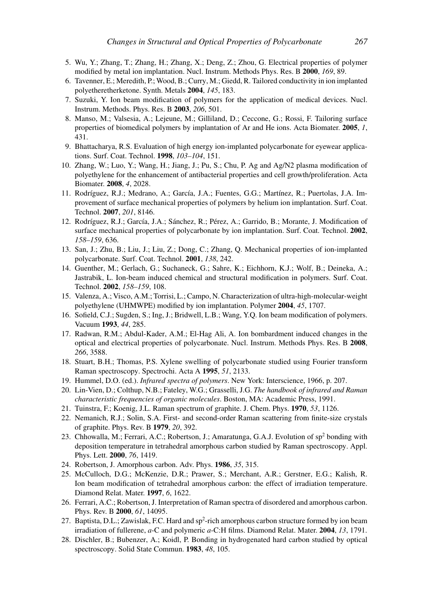- 5. Wu, Y.; Zhang, T.; Zhang, H.; Zhang, X.; Deng, Z.; Zhou, G. Electrical properties of polymer modified by metal ion implantation. Nucl. Instrum. Methods Phys. Res. B **2000**, *169*, 89.
- 6. Tavenner, E.; Meredith, P.; Wood, B.; Curry, M.; Giedd, R. Tailored conductivity in ion implanted polyetheretherketone. Synth. Metals **2004**, *145*, 183.
- 7. Suzuki, Y. Ion beam modification of polymers for the application of medical devices. Nucl. Instrum. Methods. Phys. Res. B **2003**, *206*, 501.
- 8. Manso, M.; Valsesia, A.; Lejeune, M.; Gilliland, D.; Ceccone, G.; Rossi, F. Tailoring surface properties of biomedical polymers by implantation of Ar and He ions. Acta Biomater. **2005**, *1*, 431.
- 9. Bhattacharya, R.S. Evaluation of high energy ion-implanted polycarbonate for eyewear applications. Surf. Coat. Technol. **1998**, *103–104*, 151.
- 10. Zhang, W.; Luo, Y.; Wang, H.; Jiang, J.; Pu, S.; Chu, P. Ag and Ag/N2 plasma modification of polyethylene for the enhancement of antibacterial properties and cell growth/proliferation. Acta Biomater. **2008**, *4*, 2028.
- 11. Rodríguez, R.J.; Medrano, A.; García, J.A.; Fuentes, G.G.; Martínez, R.; Puertolas, J.A. Improvement of surface mechanical properties of polymers by helium ion implantation. Surf. Coat. Technol. **2007**, *201*, 8146.
- 12. Rodríguez, R.J.; García, J.A.; Sánchez, R.; Pérez, A.; Garrido, B.; Morante, J. Modification of surface mechanical properties of polycarbonate by ion implantation. Surf. Coat. Technol. **2002**, *158–159*, 636.
- 13. San, J.; Zhu, B.; Liu, J.; Liu, Z.; Dong, C.; Zhang, Q. Mechanical properties of ion-implanted polycarbonate. Surf. Coat. Technol. **2001**, *138*, 242.
- 14. Guenther, M.; Gerlach, G.; Suchaneck, G.; Sahre, K.; Eichhorn, K.J.; Wolf, B.; Deineka, A.; Jastrabik, L. Ion-beam induced chemical and structural modification in polymers. Surf. Coat. Technol. **2002**, *158–159*, 108.
- 15. Valenza, A.; Visco, A.M.; Torrisi, L.; Campo, N. Characterization of ultra-high-molecular-weight polyethylene (UHMWPE) modified by ion implantation. Polymer **2004**, *45*, 1707.
- 16. Sofield, C.J.; Sugden, S.; Ing, J.; Bridwell, L.B.; Wang, Y.Q. Ion beam modification of polymers. Vacuum **1993**, *44*, 285.
- 17. Radwan, R.M.; Abdul-Kader, A.M.; El-Hag Ali, A. Ion bombardment induced changes in the optical and electrical properties of polycarbonate. Nucl. Instrum. Methods Phys. Res. B **2008**, *266*, 3588.
- 18. Stuart, B.H.; Thomas, P.S. Xylene swelling of polycarbonate studied using Fourier transform Raman spectroscopy. Spectrochi. Acta A **1995**, *51*, 2133.
- 19. Hummel, D.O. (ed.). *Infrared spectra of polymers*. New York: Interscience, 1966, p. 207.
- 20. Lin-Vien, D.; Colthup, N.B.; Fateley, W.G.; Grasselli, J.G. *The handbook of infrared and Raman characteristic frequencies of organic molecules*. Boston, MA: Academic Press, 1991.
- 21. Tuinstra, F.; Koenig, J.L. Raman spectrum of graphite. J. Chem. Phys. **1970**, *53*, 1126.
- 22. Nemanich, R.J.; Solin, S.A. First- and second-order Raman scattering from finite-size crystals of graphite. Phys. Rev. B **1979**, *20*, 392.
- 23. Chhowalla, M.; Ferrari, A.C.; Robertson, J.; Amaratunga, G.A.J. Evolution of sp<sup>2</sup> bonding with deposition temperature in tetrahedral amorphous carbon studied by Raman spectroscopy. Appl. Phys. Lett. **2000**, *76*, 1419.
- 24. Robertson, J. Amorphous carbon. Adv. Phys. **1986**, *35*, 315.
- 25. McCulloch, D.G.; McKenzie, D.R.; Prawer, S.; Merchant, A.R.; Gerstner, E.G.; Kalish, R. Ion beam modification of tetrahedral amorphous carbon: the effect of irradiation temperature. Diamond Relat. Mater. **1997**, *6*, 1622.
- 26. Ferrari, A.C.; Robertson, J. Interpretation of Raman spectra of disordered and amorphous carbon. Phys. Rev. B **2000**, *61*, 14095.
- 27. Baptista, D.L.; Zawislak, F.C. Hard and sp<sup>2</sup>-rich amorphous carbon structure formed by ion beam irradiation of fullerene, *a*-C and polymeric *a*-C:H films. Diamond Relat. Mater. **2004**, *13*, 1791.
- 28. Dischler, B.; Bubenzer, A.; Koidl, P. Bonding in hydrogenated hard carbon studied by optical spectroscopy. Solid State Commun. **1983**, *48*, 105.